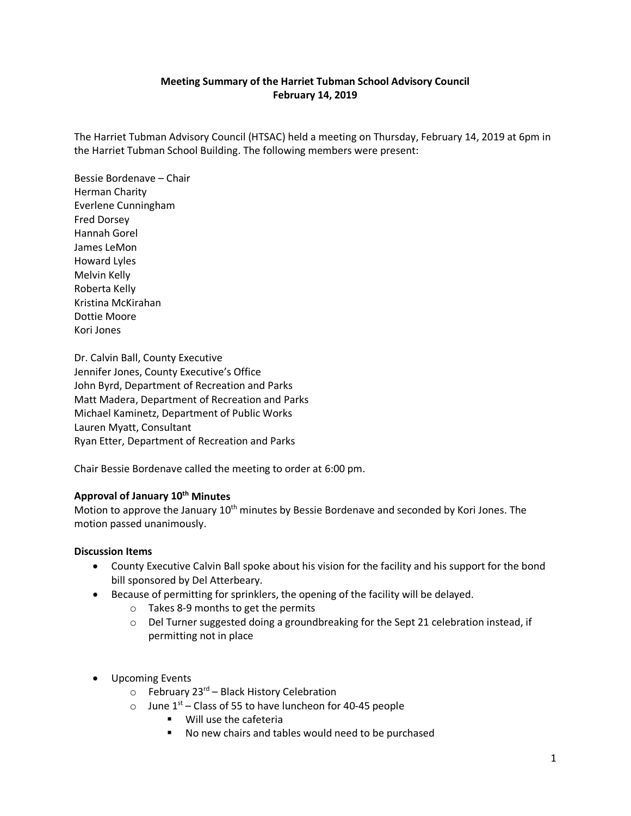# **Meeting Summary of the Harriet Tubman School Advisory Council February 14, 2019**

The Harriet Tubman Advisory Council (HTSAC) held a meeting on Thursday, February 14, 2019 at 6pm in the Harriet Tubman School Building. The following members were present:

Bessie Bordenave – Chair Herman Charity Everlene Cunningham Fred Dorsey Hannah Gorel James LeMon Howard Lyles Melvin Kelly Roberta Kelly Kristina McKirahan Dottie Moore Kori Jones

Dr. Calvin Ball, County Executive Jennifer Jones, County Executive's Office John Byrd, Department of Recreation and Parks Matt Madera, Department of Recreation and Parks Michael Kaminetz, Department of Public Works Lauren Myatt, Consultant Ryan Etter, Department of Recreation and Parks

Chair Bessie Bordenave called the meeting to order at 6:00 pm.

# **Approval of January 10th Minutes**

Motion to approve the January 10<sup>th</sup> minutes by Bessie Bordenave and seconded by Kori Jones. The motion passed unanimously.

# **Discussion Items**

- County Executive Calvin Ball spoke about his vision for the facility and his support for the bond bill sponsored by Del Atterbeary.
- Because of permitting for sprinklers, the opening of the facility will be delayed.
	- o Takes 8-9 months to get the permits
	- $\circ$  Del Turner suggested doing a groundbreaking for the Sept 21 celebration instead, if permitting not in place
- Upcoming Events
	- $\circ$  February 23<sup>rd</sup> Black History Celebration
	- o June  $1<sup>st</sup>$  Class of 55 to have luncheon for 40-45 people
		- **Will use the cafeteria**
		- No new chairs and tables would need to be purchased